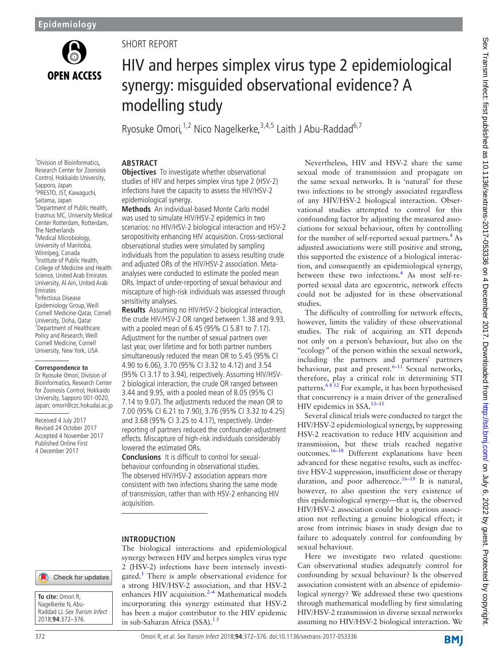

1 Division of Bioinformatics, Research Center for Zoonosis Control, Hokkaido University,

3 Department of Public Health, Erasmus MC, University Medical Center Rotterdam, Rotterdam,

Sapporo, Japan 2 PRESTO, JST, Kawaguchi, Saitama, Japan

The Netherlands 4 Medical Microbiology, University of Manitoba, Winnipeg, Canada <sup>5</sup>Institute of Public Health, College of Medicine and Health Science, United Arab Emirates University, Al Ain, United Arab

Emirates 6 Infectious Disease Epidemiology Group, Weill Cornell Medicine-Qatar, Cornell University, Doha, Qatar <sup>7</sup> Department of Healthcare Policy and Research, Weill Cornell Medicine, Cornell University, New York, USA

**Correspondence to** Dr Ryosuke Omori, Division of Bioinformatics, Research Center for Zoonosis Control, Hokkaido University, Sapporo 001-0020, Japan; omori@czc.hokudai.ac.jp

Received 4 July 2017 Revised 24 October 2017 Accepted 4 November 2017 Published Online First 4 December 2017

# SHORT REPORT

# HIV and herpes simplex virus type 2 epidemiological synergy: misguided observational evidence? A modelling study

Ryosuke Omori,  $1,2$  Nico Nagelkerke,  $3,4,5$  Laith J Abu-Raddad<sup>6,7</sup>

# **Abstract**

**Objectives** To investigate whether observational studies of HIV and herpes simplex virus type 2 (HSV-2) infections have the capacity to assess the HIV/HSV-2 epidemiological synergy.

**Methods** An individual-based Monte Carlo model was used to simulate HIV/HSV-2 epidemics in two scenarios: no HIV/HSV-2 biological interaction and HSV-2 seropositivity enhancing HIV acquisition. Cross-sectional observational studies were simulated by sampling individuals from the population to assess resulting crude and adjusted ORs of the HIV/HSV-2 association. Metaanalyses were conducted to estimate the pooled mean ORs. Impact of under-reporting of sexual behaviour and miscapture of high-risk individuals was assessed through sensitivity analyses.

**Results** Assuming no HIV/HSV-2 biological interaction, the crude HIV/HSV-2 OR ranged between 1.38 and 9.93, with a pooled mean of 6.45 (95% CI 5.81 to 7.17). Adjustment for the number of sexual partners over last year, over lifetime and for both partner numbers simultaneously reduced the mean OR to 5.45 (95% CI 4.90 to 6.06), 3.70 (95% CI 3.32 to 4.12) and 3.54 (95% CI 3.17 to 3.94), respectively. Assuming HIV/HSV-2 biological interaction, the crude OR ranged between 3.44 and 9.95, with a pooled mean of 8.05 (95% CI 7.14 to 9.07). The adjustments reduced the mean OR to 7.00 (95% CI 6.21 to 7.90), 3.76 (95% CI 3.32 to 4.25) and 3.68 (95% CI 3.25 to 4.17), respectively. Underreporting of partners reduced the confounder-adjustment effects. Miscapture of high-risk individuals considerably lowered the estimated ORs.

**Conclusions** It is difficult to control for sexualbehaviour confounding in observational studies. The observed HIV/HSV-2 association appears more consistent with two infections sharing the same mode of transmission, rather than with HSV-2 enhancing HIV acquisition.

#### **Introduction**

The biological interactions and epidemiological synergy between HIV and herpes simplex virus type 2 (HSV-2) infections have been intensely investi-gated.<sup>[1](#page-4-0)</sup> There is ample observational evidence for a strong HIV/HSV-2 association, and that HSV-2 enhances HIV acquisition. $2-4$  Mathematical models incorporating this synergy estimated that HSV-2 has been a major contributor to the HIV epidemic in sub-Saharan Africa (SSA). $1<sup>5</sup>$ 

Nevertheless, HIV and HSV-2 share the same sexual mode of transmission and propagate on the same sexual networks. It is 'natural' for these two infections to be strongly associated regardless of any HIV/HSV-2 biological interaction. Observational studies attempted to control for this confounding factor by adjusting the measured associations for sexual behaviour, often by controlling for the number of self-reported sexual partners.<sup>4</sup> As adjusted associations were still positive and strong, this supported the existence of a biological interaction, and consequently an epidemiological synergy, between these two infections.<sup>[4](#page-4-2)</sup> As most self-reported sexual data are egocentric, network effects could not be adjusted for in these observational studies.

The difficulty of controlling for network effects, however, limits the validity of these observational studies. The risk of acquiring an STI depends not only on a person's behaviour, but also on the "ecology" of the person within the sexual network, including the partners and partners' partners behaviour, past and present. $6-11$  Sexual networks, therefore, play a critical role in determining STI patterns.<sup>68 12</sup> For example, it has been hypothesised that concurrency is a main driver of the generalised HIV epidemics in SSA.<sup>13-15</sup>

Several clinical trials were conducted to target the HIV/HSV-2 epidemiological synergy, by suppressing HSV-2 reactivation to reduce HIV acquisition and transmission, but these trials reached negative outcomes.[16–18](#page-4-5) Different explanations have been advanced for these negative results, such as ineffective HSV-2 suppression, insufficient dose or therapy duration, and poor adherence.<sup>16-19</sup> It is natural, however, to also question the very existence of this epidemiological synergy—that is, the observed HIV/HSV-2 association could be a spurious association not reflecting a genuine biological effect; it arose from intrinsic biases in study design due to failure to adequately control for confounding by sexual behaviour.

Here we investigate two related questions: Can observational studies adequately control for confounding by sexual behaviour? Is the observed association consistent with an absence of epidemiological synergy? We addressed these two questions through mathematical modelling by first simulating HIV/HSV-2 transmission in diverse sexual networks assuming no HIV/HSV-2 biological interaction. We

Check for updates

**To cite:** Omori R, Nagelkerke N, Abu-Raddad LJ. Sex Transm Infect 2018;**94**:372–376.

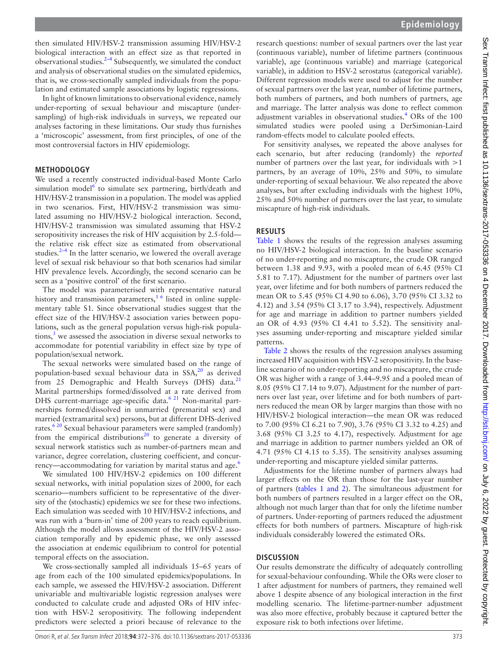then simulated HIV/HSV-2 transmission assuming HIV/HSV-2 biological interaction with an effect size as that reported in observational studies.[2–4](#page-4-1) Subsequently, we simulated the conduct and analysis of observational studies on the simulated epidemics, that is, we cross-sectionally sampled individuals from the population and estimated sample associations by logistic regressions.

In light of known limitations to observational evidence, namely under-reporting of sexual behaviour and miscapture (undersampling) of high-risk individuals in surveys, we repeated our analyses factoring in these limitations. Our study thus furnishes a 'microscopic' assessment, from first principles, of one of the most controversial factors in HIV epidemiology.

#### **Methodology**

We used a recently constructed individual-based Monte Carlo simulation model<sup>[6](#page-4-3)</sup> to simulate sex partnering, birth/death and HIV/HSV-2 transmission in a population. The model was applied in two scenarios. First, HIV/HSV-2 transmission was simulated assuming no HIV/HSV-2 biological interaction. Second, HIV/HSV-2 transmission was simulated assuming that HSV-2 seropositivity increases the risk of HIV acquisition by 2.5-fold the relative risk effect size as estimated from observational studies. $2-4$  In the latter scenario, we lowered the overall average level of sexual risk behaviour so that both scenarios had similar HIV prevalence levels. Accordingly, the second scenario can be seen as a 'positive control' of the first scenario.

The model was parameterised with representative natural history and transmission parameters,<sup>16</sup> listed in online [supple](https://dx.doi.org/10.1136/sextrans-2017-053336)[mentary table S1.](https://dx.doi.org/10.1136/sextrans-2017-053336) Since observational studies suggest that the effect size of the HIV/HSV-2 association varies between populations, such as the general population versus high-risk populations,<sup>3</sup> we assessed the association in diverse sexual networks to accommodate for potential variability in effect size by type of population/sexual network.

The sexual networks were simulated based on the range of population-based sexual behaviour data in  $SSA<sub>1</sub><sup>20</sup>$  as derived from 25 Demographic and Health Surveys (DHS) data. $^{21}$  $^{21}$  $^{21}$ Marital partnerships formed/dissolved at a rate derived from DHS current-marriage age-specific data.<sup>6 21</sup> Non-marital partnerships formed/dissolved in unmarried (premarital sex) and married (extramarital sex) persons, but at different DHS-derived rates.<sup>[6 20](#page-4-3)</sup> Sexual behaviour parameters were sampled (randomly) from the empirical distributions<sup>[20](#page-4-7)</sup> to generate a diversity of sexual network statistics such as number-of-partners mean and variance, degree correlation, clustering coefficient, and concurrency—accommodating for variation by marital status and age.<sup>6</sup>

We simulated 100 HIV/HSV-2 epidemics on 100 different sexual networks, with initial population sizes of 2000, for each scenario—numbers sufficient to be representative of the diversity of the (stochastic) epidemics we see for these two infections. Each simulation was seeded with 10 HIV/HSV-2 infections, and was run with a 'burn-in' time of 200 years to reach equilibrium. Although the model allows assessment of the HIV/HSV-2 association temporally and by epidemic phase, we only assessed the association at endemic equilibrium to control for potential temporal effects on the association.

We cross-sectionally sampled all individuals 15–65 years of age from each of the 100 simulated epidemics/populations. In each sample, we assessed the HIV/HSV-2 association. Different univariable and multivariable logistic regression analyses were conducted to calculate crude and adjusted ORs of HIV infection with HSV-2 seropositivity. The following independent predictors were selected a priori because of relevance to the

research questions: number of sexual partners over the last year (continuous variable), number of lifetime partners (continuous variable), age (continuous variable) and marriage (categorical variable), in addition to HSV-2 serostatus (categorical variable). Different regression models were used to adjust for the number of sexual partners over the last year, number of lifetime partners, both numbers of partners, and both numbers of partners, age and marriage. The latter analysis was done to reflect common adjustment variables in observational studies.<sup>4</sup> ORs of the 100 simulated studies were pooled using a DerSimonian-Laird random-effects model to calculate pooled effects.

For sensitivity analyses, we repeated the above analyses for each scenario, but after reducing (randomly) the *reported* number of partners over the last year, for individuals with  $>1$ partners, by an average of 10%, 25% and 50%, to simulate under-reporting of sexual behaviour. We also repeated the above analyses, but after excluding individuals with the highest 10%, 25% and 50% number of partners over the last year, to simulate miscapture of high-risk individuals.

### **Results**

[Table](#page-2-0) 1 shows the results of the regression analyses assuming no HIV/HSV-2 biological interaction. In the baseline scenario of no under-reporting and no miscapture, the crude OR ranged between 1.38 and 9.93, with a pooled mean of 6.45 (95% CI 5.81 to 7.17). Adjustment for the number of partners over last year, over lifetime and for both numbers of partners reduced the mean OR to 5.45 (95% CI 4.90 to 6.06), 3.70 (95% CI 3.32 to 4.12) and 3.54 (95% CI 3.17 to 3.94), respectively. Adjustment for age and marriage in addition to partner numbers yielded an OR of 4.93 (95% CI 4.41 to 5.52). The sensitivity analyses assuming under-reporting and miscapture yielded similar patterns.

[Table](#page-3-0) 2 shows the results of the regression analyses assuming increased HIV acquisition with HSV-2 seropositivity. In the baseline scenario of no under-reporting and no miscapture, the crude OR was higher with a range of 3.44–9.95 and a pooled mean of 8.05 (95% CI 7.14 to 9.07). Adjustment for the number of partners over last year, over lifetime and for both numbers of partners reduced the mean OR by larger margins than those with no HIV/HSV-2 biological interaction—the mean OR was reduced to 7.00 (95% CI 6.21 to 7.90), 3.76 (95% CI 3.32 to 4.25) and 3.68 (95% CI 3.25 to 4.17), respectively. Adjustment for age and marriage in addition to partner numbers yielded an OR of 4.71 (95% CI 4.15 to 5.35). The sensitivity analyses assuming under-reporting and miscapture yielded similar patterns.

Adjustments for the lifetime number of partners always had larger effects on the OR than those for the last-year number of partners (tables [1 and 2\)](#page-2-0). The simultaneous adjustment for both numbers of partners resulted in a larger effect on the OR, although not much larger than that for only the lifetime number of partners. Under-reporting of partners reduced the adjustment effects for both numbers of partners. Miscapture of high-risk individuals considerably lowered the estimated ORs.

# **Discussion**

Our results demonstrate the difficulty of adequately controlling for sexual-behaviour confounding. While the ORs were closer to 1 after adjustment for numbers of partners, they remained well above 1 despite absence of any biological interaction in the first modelling scenario. The lifetime-partner-number adjustment was also more effective, probably because it captured better the exposure risk to both infections over lifetime.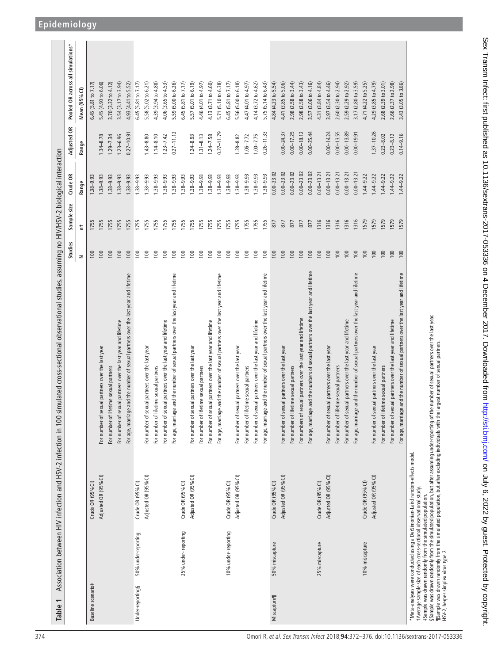<span id="page-2-0"></span>

| Table 1                                                                                                                                                                                                                                                                                                                                                  | Association between HIV infection and HSV-2 infection in 100 | simulated cross-sectional observational studies, assuming no HIV/HSV-2 biological interaction                                                                                              |         |             |                |                |                                   |
|----------------------------------------------------------------------------------------------------------------------------------------------------------------------------------------------------------------------------------------------------------------------------------------------------------------------------------------------------------|--------------------------------------------------------------|--------------------------------------------------------------------------------------------------------------------------------------------------------------------------------------------|---------|-------------|----------------|----------------|-----------------------------------|
|                                                                                                                                                                                                                                                                                                                                                          |                                                              |                                                                                                                                                                                            | Studies | Sample size | Crude OR       | Adjusted OR    | Pooled OR across all simulations* |
|                                                                                                                                                                                                                                                                                                                                                          |                                                              |                                                                                                                                                                                            | $\geq$  | ŧ           | Range          | Range          | Mean (95%CI)                      |
| Baseline scenario#                                                                                                                                                                                                                                                                                                                                       | Crude OR (95% Cl)                                            |                                                                                                                                                                                            | 100     | 1755        | $.38 - 9.93$   |                | 6.45 (5.81 to 7.17                |
|                                                                                                                                                                                                                                                                                                                                                          | Adjusted OR (95% CI)                                         | sexual partners over the last year<br>For number of                                                                                                                                        | 100     | 1755        | $1.38 - 9.93$  | $1.34 - 8.78$  | 5.45 (4.90 to 6.06)               |
|                                                                                                                                                                                                                                                                                                                                                          |                                                              | lifetime sexual partners<br>For number of                                                                                                                                                  | 100     | <b>1755</b> | $.38 - 9.93$   | $1.29 - 7.34$  | 3.70 (3.32 to 4.12)               |
|                                                                                                                                                                                                                                                                                                                                                          |                                                              | sexual partners over the last year and lifetime<br>For number of                                                                                                                           | 100     | 1755        | $.38 - 9.93$   | $1.23 - 6.96$  | 3.54 (3.17 to 3.94)               |
|                                                                                                                                                                                                                                                                                                                                                          |                                                              | For age, marriage and the number of sexual partners over the last year and lifetime                                                                                                        | 100     | <b>1755</b> | $.38 - 9.93$   | $0.27 - 10.91$ | 4.93 (4.41 to 5.52)               |
| 50% under-reporting<br>Under-reporting§                                                                                                                                                                                                                                                                                                                  | Crude OR (95% CI)                                            |                                                                                                                                                                                            | 100     | 1755        | $1.38 - 9.93$  |                | 6.45 (5.81 to 7.17)               |
|                                                                                                                                                                                                                                                                                                                                                          | Adjusted OR (95% CI)                                         | sexual partners over the last year<br>For number of                                                                                                                                        | 100     | 1755        | $1.38 - 9.93$  | $1.43 - 8.80$  | (5.02 to 6.21)<br>5.58            |
|                                                                                                                                                                                                                                                                                                                                                          |                                                              | lifetime sexual partners<br>For number of                                                                                                                                                  | 100     | 1755        | $1.38 - 9.93$  | $1.14 - 8.10$  | 4.39 (3.94 to 4.88)               |
|                                                                                                                                                                                                                                                                                                                                                          |                                                              | sexual partners over the last year and lifetime<br>For number of                                                                                                                           | 100     | 1755        | $1.38 - 9.93$  | $1.23 - 7.42$  | 4.06 (3.65 to 4.53)               |
|                                                                                                                                                                                                                                                                                                                                                          |                                                              | For age, marriage and the number of sexual partners over the last year and lifetime                                                                                                        | 100     | 1755        | $1.38 - 9.93$  | $0.27 - 11.12$ | 5.59 (5.00 to 6.26)               |
| 25% under-reporting                                                                                                                                                                                                                                                                                                                                      | Crude OR (95% CI)                                            |                                                                                                                                                                                            | 100     | 1755        | $1.38 - 9.93$  |                | 6.45 (5.81 to 7.17)               |
|                                                                                                                                                                                                                                                                                                                                                          | Adjusted OR (95% CI)                                         | sexual partners over the last year<br>For number of                                                                                                                                        | 100     | 1755        | $.38 - 9.93$   | $1.24 - 8.93$  | 5.57 (5.01 to 6.19)               |
|                                                                                                                                                                                                                                                                                                                                                          |                                                              | lifetime sexual partners<br>For number of                                                                                                                                                  | 100     | 1755        | 1.38-9.93      | $1.31 - 8.13$  | 4.46 (4.01 to 4.97)               |
|                                                                                                                                                                                                                                                                                                                                                          |                                                              | sexual partners over the last year and lifetime<br>For number of                                                                                                                           | 100     | 1755        | $1.38 - 9.93$  | $1.24 - 7.58$  | 4.13 (3.71 to 4.60)               |
|                                                                                                                                                                                                                                                                                                                                                          |                                                              | For age, marriage and the number of sexual partners over the last year and lifetime                                                                                                        | 100     | 1755        | $1.38 - 9.93$  | $0.27 - 11.79$ | 5.71 (5.10 to 6.38)               |
| 10% under-reporting                                                                                                                                                                                                                                                                                                                                      | Crude OR (95% CI)                                            |                                                                                                                                                                                            | 100     | 1755        | $1.38 - 9.93$  |                | 6.45 (5.81 to 7.17)               |
|                                                                                                                                                                                                                                                                                                                                                          | Adjusted OR (95% CI)                                         | sexual partners over the last year<br>For number of                                                                                                                                        | 100     | 1755        | $1.38 - 9.93$  | $1.28 - 8.82$  | 5.56 (5.00 to 6.18)               |
|                                                                                                                                                                                                                                                                                                                                                          |                                                              | For number of lifetime sexual partners                                                                                                                                                     | 100     | 1755        | 1.38-9.93      | $1.06 - 7.72$  | 4.47 (4.01 to 4.97)               |
|                                                                                                                                                                                                                                                                                                                                                          |                                                              | sexual partners over the last year and lifetime<br>For number of                                                                                                                           | 100     | 1755        | $1.38 - 9.93$  | $1.00 - 7.75$  | 4.14 (3.72 to 4.62)               |
|                                                                                                                                                                                                                                                                                                                                                          |                                                              | For age, marriage and the number of sexual partners over the last year and lifetime                                                                                                        | 100     | 1755        | $1.38 - 9.93$  | $0.26 - 11.33$ | 5.75 (5.14 to 6.43)               |
| 50% miscapture<br><b>Miscapture</b>                                                                                                                                                                                                                                                                                                                      | Crude OR (95% CI)                                            |                                                                                                                                                                                            | 100     | 877         | $0.00 - 23.02$ |                | 4.84 (4.23 to 5.54)               |
|                                                                                                                                                                                                                                                                                                                                                          | Adjusted OR (95% Cl)                                         | sexual partners over the last year<br>For number of                                                                                                                                        | 100     | 877         | $0.00 - 23.02$ | $0.00 - 24.37$ | 4.41 (3.85 to 5.06)               |
|                                                                                                                                                                                                                                                                                                                                                          |                                                              | lifetime sexual partners<br>For number of                                                                                                                                                  | 100     | 877         | $0.00 - 23.02$ | $0.00 - 17.25$ | 2.98 (2.58 to 3.44)               |
|                                                                                                                                                                                                                                                                                                                                                          |                                                              | sexual partners over the last year and lifetime<br>For numbers of                                                                                                                          | 100     | 877         | $0.00 - 23.02$ | $0.00 - 18.12$ | 2.98 (2.58 to 3.43)               |
|                                                                                                                                                                                                                                                                                                                                                          |                                                              | For age, marriage and the numbers of sexual partners over the last year and lifetime                                                                                                       | 100     | 877         | $0.00 - 23.02$ | $0.00 - 25.44$ | 3.57 (3.06 to 4.16)               |
| 25% miscapture                                                                                                                                                                                                                                                                                                                                           | Crude OR (95% CI)                                            |                                                                                                                                                                                            | 100     | 1316        | $0.00 - 13.21$ |                | 4.31 (3.84 to 4.84)               |
|                                                                                                                                                                                                                                                                                                                                                          | Adjusted OR (95% Cl)                                         | For number of sexual partners over the last year                                                                                                                                           | 100     | 1316        | $0.00 - 13.21$ | $0.00 - 14.24$ | 3.97 (3.54 to 4.46)               |
|                                                                                                                                                                                                                                                                                                                                                          |                                                              | For number of lifetime sexual partners                                                                                                                                                     | 100     | 1316        | $0.00 - 13.21$ | $0.00 - 13.55$ | 2.60 (2.30 to 2.94)               |
|                                                                                                                                                                                                                                                                                                                                                          |                                                              | For number of sexual partners over the last year and lifetime                                                                                                                              | 100     | 1316        | $0.00 - 13.21$ | $0.00 - 13.89$ | 2.59 (2.29 to 2.92)               |
|                                                                                                                                                                                                                                                                                                                                                          |                                                              | ge and the number of sexual partners over the last year and lifetime<br>For age, marria                                                                                                    | 100     | 1316        | $0.00 - 13.21$ | $0.00 - 19.91$ | 3.17 (2.80 to 3.59)               |
| 10% miscapture                                                                                                                                                                                                                                                                                                                                           | Crude OR (95% CI)                                            |                                                                                                                                                                                            | 100     | 1579        | $1.44 - 9.22$  |                | 4.71 (4.22 to 5.25)               |
|                                                                                                                                                                                                                                                                                                                                                          | Adjusted OR (95% CI)                                         | For number of sexual partners over the last year                                                                                                                                           | 100     | 1579        | $1.44 - 9.22$  | $1.37 - 10.26$ | 4.29 (3.85 to 4.79)               |
|                                                                                                                                                                                                                                                                                                                                                          |                                                              | For number of lifetime sexual partners                                                                                                                                                     | 100     | 1579        | $1.44 - 9.22$  | $0.23 - 8.02$  | 2.68 (2.39 to 3.01)               |
|                                                                                                                                                                                                                                                                                                                                                          |                                                              | For number of sexual partners over the last year and lifetime                                                                                                                              | 100     | 1579        | $1.44 - 9.22$  | $0.23 - 8.12$  | 2.66 (2.37 to 2.98)               |
|                                                                                                                                                                                                                                                                                                                                                          |                                                              | For age, marriage and the number of sexual partners over the last year and lifetime                                                                                                        | 100     | 1579        | $1.44 - 9.22$  | $0.14 - 9.16$  | to 3.86)<br>(3.05)<br>3.43        |
| SSample was drawn randomly from the simulated population, but after assuming under-reporting of<br>*Meta-analyses were conducted using a DerSimonian-Laird random-effects model<br>tAverage sample size of each cross-sectional observational study.<br>#Sample was drawn randomly from the simulated population.<br>HSV-2, herpes simplex virus type 2. |                                                              | the number of sexual partners over the last year.<br>MSample was drawn randomly from the simulated population, but after excluding individuals with the largest number of sexual partners. |         |             |                |                |                                   |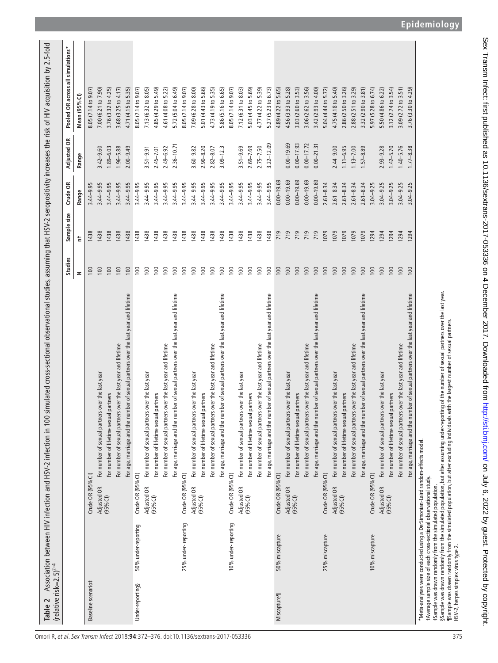$\overline{1}$  $\overline{1}$ 

| 3.32 (2.90 to 3.81)<br>5.97 (5.28 to 6.74)<br>3.12 (2.74 to 3.54)<br>3.09 (2.72 to 3.51)<br>3.76 (3.32 to 4.25)<br>3.68 (3.25 to 4.17)<br>4.71 (4.15 to 5.35)<br>8.05 (7.14 to 9.07)<br>7.13 (6.32 to 8.05)<br>5.72 (5.04 to 6.49)<br>7.09 (6.28 to 8.00)<br>5.01 (4.43 to 5.66)<br>4.73 (4.19 to 5.35)<br>5.86 (5.16 to 6.65)<br>8.05 (7.14 to 9.07)<br>to 8.03)<br>5.27 (5.23 to 6.73)<br>4.89 (4.22 to 5.65)<br>3.03 (2.60 to 3.53)<br>3.06 (2.62 to 3.56)<br>3.42 (2.93 to 4.00)<br>5.04 (4.44 to 5.72)<br>4.75 (4.18 to 5.40)<br>2.86 (2.50 to 3.26)<br>2.88 (2.51 to 3.29)<br>(3.30 to 4.29)<br>7.00 (6.21 to 7.90)<br>4.85 (4.29 to 5.49)<br>$(4.08 \text{ to } 5.22)$<br>8.05 (7.14 to 9.07)<br>5.03 (4.45 to 5.69)<br>4.77 (4.22 to 5.39)<br>4.56 (3.93 to 5.28)<br>5.50 (4.86 to 6.22)<br>8.05 (7.14 to 9.07<br>Mean (95% CI)<br>7.12 (6.31<br>4.61<br>3.76<br>$3.22 - 12.09$<br>$0.00 - 19.69$<br>$0.00 - 17.93$<br>$0.00 - 17.72$<br>$2.36 - 10.71$<br>$0.00 - 21.31$<br>$2.75 - 7.50$<br>$1.40 - 5.76$<br>$1.96 - 5.88$<br>$2.00 - 9.49$<br>$2.90 - 8.20$<br>$2.69 - 7.69$<br>$2.44 - 9.00$<br>$1.11 - 6.95$<br>$1.13 - 7.00$<br>$2.93 - 9.28$<br>$1.42 - 5.70$<br>$1.77 - 8.38$<br>$3.42 - 9.60$<br>$1.89 - 6.03$<br>$2.49 - 6.92$<br>$3.60 - 9.82$<br>$2.82 - 8.07$<br>$3.09 - 12.3$<br>$3.51 - 9.69$<br>$1.57 - 8.89$<br>$3.51 - 9.91$<br>$2.45 - 7.01$<br>Range<br>$0.00 - 19.69$<br>$0.00 - 19.69$<br>$0.00 - 19.69$<br>$0.00 - 19.69$<br>$0.00 - 19.69$<br>$3.44 - 9.95$<br>$3.44 - 9.95$<br>$3.04 - 9.25$<br>$3.44 - 9.95$<br>$3.44 - 9.95$<br>$3.44 - 9.95$<br>$3.44 - 9.95$<br>$3.44 - 9.95$<br>$3.44 - 9.95$<br>$3.44 - 9.95$<br>$3.44 - 9.95$<br>$3.44 - 9.95$<br>$3.44 - 9.95$<br>$3.44 - 9.95$<br>$3.44 - 9.95$<br>$3.04 - 9.25$<br>$3.04 - 9.25$<br>$3.04 - 9.25$<br>$3.44 - 9.95$<br>$3.44 - 9.95$<br>$3.44 - 9.95$<br>$3.44 - 9.95$<br>$3.44 - 9.95$<br>$2.61 - 8.34$<br>$2.61 - 8.34$<br>$3.04 - 9.25$<br>$2.61 - 8.34$<br>$2.61 - 8.34$<br>$2.61 - 8.34$<br>$3.44 - 9.95$<br>Range<br>1438<br>1438<br>1438<br>719<br>719<br>719<br>719<br>719<br>1079<br>1438<br>1438<br>1438<br>1438<br>1438<br>1438<br>1438<br>1438<br>1438<br>1438<br>1438<br>1438<br>1438<br>1438<br>1438<br>1438<br>1079<br>1079<br>1079<br>1079<br>1438<br>1294<br>1294<br>1294<br>1294<br>1294<br>ŧ<br>100<br>100<br>100<br>100<br>100<br>100<br>100<br>100<br>100<br>100<br>100<br>100<br>100<br>100<br>100<br>100<br>100<br>100<br>100<br>100<br>100<br>100<br>100<br>100<br>100<br>100<br>100<br>100<br>100<br>100<br>100<br>100<br>100<br>100<br>100<br>$\geq$<br>SSample was drawn randomly from the simulated population, but after assuming under-reporting of the number of sexual partners over the last year.<br>¶Sample was drawn randomly from the simulated population, but after excludin<br>For age, marriage and the number of sexual partners over the last year and lifetime<br>For age, marriage and the number of sexual partners over the last year and lifetime<br>For age, marriage and the number of sexual partners over the last year and lifetime<br>For age, marriage and the number of sexual partners over the last year and lifetime<br>For age, marriage and the number of sexual partners over the last year and lifetime<br>For age, marriage and the number of sexual partners over the last year and lifetime<br>age, marriage and the number of sexual partners over the last year and lifetime<br>For number of sexual partners over the last year and lifetime<br>For number of sexual partners over the last year and lifetime<br>For number of sexual partners over the last year and lifetime<br>For number of sexual partners over the last year and lifetime<br>For number of sexual partners over the last year and lifetime<br>For number of sexual partners over the last year and lifetime<br>For number of sexual partners over the last year and lifetime<br>For number of sexual partners over the last year<br>For number of sexual partners over the last year<br>For number of sexual partners over the last year<br>For number of sexual partners over the last year<br>For number of sexual partners over the last year<br>For number of sexual partners over the last year<br>For number of sexual partners over the last year<br>For number of lifetime sexual partners<br>For number of lifetime sexual partners<br>For number of lifetime sexual partners<br>For number of lifetime sexual partners<br>For number of lifetime sexual partners<br>For number of lifetime sexual partners<br>For number of lifetime sexual partners<br>*Meta-analyses were conducted using a DerSimonian-Laird random-effects model<br><b>For</b><br>Crude OR (95% Cl)<br>Crude OR (95% CI)<br>Crude OR (95% CI)<br>Crude OR (95% CI)<br>Crude OR (95% CI)<br>Crude OR (95% CI)<br>Crude OR (95% CI)<br>t Average sample size of each cross-sectional observational study.<br>#Sample was drawn randomly from the simulated population.<br>Adjusted OR<br>Adjusted OR<br>Adjusted OR<br>Adjusted OR<br>Adjusted OR<br>Adjusted OR<br><b>Adjusted OR</b><br>(95% <sub>0</sub> )<br>$(95%$ CI)<br>(95%C)<br>(95% <sup>°</sup><br>(95% <sup>°</sup><br>(95%C)<br>(95% <sup>°</sup> ()<br>25% under-reporting<br>10% under-reporting<br>50% under-reporting<br>50% miscapture<br>25% miscapture<br>10% miscapture<br>Baseline scenario#<br>Under-reporting§<br><b>Miscapture</b> |  |  | Studies | Sample size | Crude OR | Adjusted OR | all simulations*<br>Pooled OR across |
|------------------------------------------------------------------------------------------------------------------------------------------------------------------------------------------------------------------------------------------------------------------------------------------------------------------------------------------------------------------------------------------------------------------------------------------------------------------------------------------------------------------------------------------------------------------------------------------------------------------------------------------------------------------------------------------------------------------------------------------------------------------------------------------------------------------------------------------------------------------------------------------------------------------------------------------------------------------------------------------------------------------------------------------------------------------------------------------------------------------------------------------------------------------------------------------------------------------------------------------------------------------------------------------------------------------------------------------------------------------------------------------------------------------------------------------------------------------------------------------------------------------------------------------------------------------------------------------------------------------------------------------------------------------------------------------------------------------------------------------------------------------------------------------------------------------------------------------------------------------------------------------------------------------------------------------------------------------------------------------------------------------------------------------------------------------------------------------------------------------------------------------------------------------------------------------------------------------------------------------------------------------------------------------------------------------------------------------------------------------------------------------------------------------------------------------------------------------------------------------------------------------------------------------------------------------------------------------------------------------------------------------------------------------------------------------------------------------------------------------------------------------------------------------------------------------------------------------------------------------------------------------------------------------------------------------------------------------------------------------------------------------------------------------------------------------------------------------------------------------------------------------------------------------------------------------------------------------------------------------------------------------------------------------------------------------------------------------------------------------------------------------------------------------------------------------------------------------------------------------------------------------------------------------------------------------------------------------------------------------------------------------------------------------------------------------------------------------------------------------------------------------------------------------------------------------------------------------------------------------------------------------------------------------------------------------------------------------------------------------------------------------------------------------------------------------------------------------------------------------------------------------------------------------------------------------------------------------------------------------------------------------------------------------------------------------------------------------------------------------------------------------------------------------------------------------------------------------------------------------------------------------------------------------------------------------------------------------------------------------------------------------------------------------------------------------------------------------------------------------------------------------------------------------------------------------------------------------------------------------------------------------------------------------------------------------------------------------------------------------------------------------------------------------------------------------------------------------------------------------------------------------------------------------------------------------------------------------------------------------------------------------------------------------------------------------------------------------------------------------------------------------------------------------------------|--|--|---------|-------------|----------|-------------|--------------------------------------|
|                                                                                                                                                                                                                                                                                                                                                                                                                                                                                                                                                                                                                                                                                                                                                                                                                                                                                                                                                                                                                                                                                                                                                                                                                                                                                                                                                                                                                                                                                                                                                                                                                                                                                                                                                                                                                                                                                                                                                                                                                                                                                                                                                                                                                                                                                                                                                                                                                                                                                                                                                                                                                                                                                                                                                                                                                                                                                                                                                                                                                                                                                                                                                                                                                                                                                                                                                                                                                                                                                                                                                                                                                                                                                                                                                                                                                                                                                                                                                                                                                                                                                                                                                                                                                                                                                                                                                                                                                                                                                                                                                                                                                                                                                                                                                                                                                                                                                                                                                                                                                                                                                                                                                                                                                                                                                                                                                                                                                              |  |  |         |             |          |             |                                      |
|                                                                                                                                                                                                                                                                                                                                                                                                                                                                                                                                                                                                                                                                                                                                                                                                                                                                                                                                                                                                                                                                                                                                                                                                                                                                                                                                                                                                                                                                                                                                                                                                                                                                                                                                                                                                                                                                                                                                                                                                                                                                                                                                                                                                                                                                                                                                                                                                                                                                                                                                                                                                                                                                                                                                                                                                                                                                                                                                                                                                                                                                                                                                                                                                                                                                                                                                                                                                                                                                                                                                                                                                                                                                                                                                                                                                                                                                                                                                                                                                                                                                                                                                                                                                                                                                                                                                                                                                                                                                                                                                                                                                                                                                                                                                                                                                                                                                                                                                                                                                                                                                                                                                                                                                                                                                                                                                                                                                                              |  |  |         |             |          |             |                                      |
|                                                                                                                                                                                                                                                                                                                                                                                                                                                                                                                                                                                                                                                                                                                                                                                                                                                                                                                                                                                                                                                                                                                                                                                                                                                                                                                                                                                                                                                                                                                                                                                                                                                                                                                                                                                                                                                                                                                                                                                                                                                                                                                                                                                                                                                                                                                                                                                                                                                                                                                                                                                                                                                                                                                                                                                                                                                                                                                                                                                                                                                                                                                                                                                                                                                                                                                                                                                                                                                                                                                                                                                                                                                                                                                                                                                                                                                                                                                                                                                                                                                                                                                                                                                                                                                                                                                                                                                                                                                                                                                                                                                                                                                                                                                                                                                                                                                                                                                                                                                                                                                                                                                                                                                                                                                                                                                                                                                                                              |  |  |         |             |          |             |                                      |
|                                                                                                                                                                                                                                                                                                                                                                                                                                                                                                                                                                                                                                                                                                                                                                                                                                                                                                                                                                                                                                                                                                                                                                                                                                                                                                                                                                                                                                                                                                                                                                                                                                                                                                                                                                                                                                                                                                                                                                                                                                                                                                                                                                                                                                                                                                                                                                                                                                                                                                                                                                                                                                                                                                                                                                                                                                                                                                                                                                                                                                                                                                                                                                                                                                                                                                                                                                                                                                                                                                                                                                                                                                                                                                                                                                                                                                                                                                                                                                                                                                                                                                                                                                                                                                                                                                                                                                                                                                                                                                                                                                                                                                                                                                                                                                                                                                                                                                                                                                                                                                                                                                                                                                                                                                                                                                                                                                                                                              |  |  |         |             |          |             |                                      |
|                                                                                                                                                                                                                                                                                                                                                                                                                                                                                                                                                                                                                                                                                                                                                                                                                                                                                                                                                                                                                                                                                                                                                                                                                                                                                                                                                                                                                                                                                                                                                                                                                                                                                                                                                                                                                                                                                                                                                                                                                                                                                                                                                                                                                                                                                                                                                                                                                                                                                                                                                                                                                                                                                                                                                                                                                                                                                                                                                                                                                                                                                                                                                                                                                                                                                                                                                                                                                                                                                                                                                                                                                                                                                                                                                                                                                                                                                                                                                                                                                                                                                                                                                                                                                                                                                                                                                                                                                                                                                                                                                                                                                                                                                                                                                                                                                                                                                                                                                                                                                                                                                                                                                                                                                                                                                                                                                                                                                              |  |  |         |             |          |             |                                      |
|                                                                                                                                                                                                                                                                                                                                                                                                                                                                                                                                                                                                                                                                                                                                                                                                                                                                                                                                                                                                                                                                                                                                                                                                                                                                                                                                                                                                                                                                                                                                                                                                                                                                                                                                                                                                                                                                                                                                                                                                                                                                                                                                                                                                                                                                                                                                                                                                                                                                                                                                                                                                                                                                                                                                                                                                                                                                                                                                                                                                                                                                                                                                                                                                                                                                                                                                                                                                                                                                                                                                                                                                                                                                                                                                                                                                                                                                                                                                                                                                                                                                                                                                                                                                                                                                                                                                                                                                                                                                                                                                                                                                                                                                                                                                                                                                                                                                                                                                                                                                                                                                                                                                                                                                                                                                                                                                                                                                                              |  |  |         |             |          |             |                                      |
|                                                                                                                                                                                                                                                                                                                                                                                                                                                                                                                                                                                                                                                                                                                                                                                                                                                                                                                                                                                                                                                                                                                                                                                                                                                                                                                                                                                                                                                                                                                                                                                                                                                                                                                                                                                                                                                                                                                                                                                                                                                                                                                                                                                                                                                                                                                                                                                                                                                                                                                                                                                                                                                                                                                                                                                                                                                                                                                                                                                                                                                                                                                                                                                                                                                                                                                                                                                                                                                                                                                                                                                                                                                                                                                                                                                                                                                                                                                                                                                                                                                                                                                                                                                                                                                                                                                                                                                                                                                                                                                                                                                                                                                                                                                                                                                                                                                                                                                                                                                                                                                                                                                                                                                                                                                                                                                                                                                                                              |  |  |         |             |          |             |                                      |
|                                                                                                                                                                                                                                                                                                                                                                                                                                                                                                                                                                                                                                                                                                                                                                                                                                                                                                                                                                                                                                                                                                                                                                                                                                                                                                                                                                                                                                                                                                                                                                                                                                                                                                                                                                                                                                                                                                                                                                                                                                                                                                                                                                                                                                                                                                                                                                                                                                                                                                                                                                                                                                                                                                                                                                                                                                                                                                                                                                                                                                                                                                                                                                                                                                                                                                                                                                                                                                                                                                                                                                                                                                                                                                                                                                                                                                                                                                                                                                                                                                                                                                                                                                                                                                                                                                                                                                                                                                                                                                                                                                                                                                                                                                                                                                                                                                                                                                                                                                                                                                                                                                                                                                                                                                                                                                                                                                                                                              |  |  |         |             |          |             |                                      |
|                                                                                                                                                                                                                                                                                                                                                                                                                                                                                                                                                                                                                                                                                                                                                                                                                                                                                                                                                                                                                                                                                                                                                                                                                                                                                                                                                                                                                                                                                                                                                                                                                                                                                                                                                                                                                                                                                                                                                                                                                                                                                                                                                                                                                                                                                                                                                                                                                                                                                                                                                                                                                                                                                                                                                                                                                                                                                                                                                                                                                                                                                                                                                                                                                                                                                                                                                                                                                                                                                                                                                                                                                                                                                                                                                                                                                                                                                                                                                                                                                                                                                                                                                                                                                                                                                                                                                                                                                                                                                                                                                                                                                                                                                                                                                                                                                                                                                                                                                                                                                                                                                                                                                                                                                                                                                                                                                                                                                              |  |  |         |             |          |             |                                      |
|                                                                                                                                                                                                                                                                                                                                                                                                                                                                                                                                                                                                                                                                                                                                                                                                                                                                                                                                                                                                                                                                                                                                                                                                                                                                                                                                                                                                                                                                                                                                                                                                                                                                                                                                                                                                                                                                                                                                                                                                                                                                                                                                                                                                                                                                                                                                                                                                                                                                                                                                                                                                                                                                                                                                                                                                                                                                                                                                                                                                                                                                                                                                                                                                                                                                                                                                                                                                                                                                                                                                                                                                                                                                                                                                                                                                                                                                                                                                                                                                                                                                                                                                                                                                                                                                                                                                                                                                                                                                                                                                                                                                                                                                                                                                                                                                                                                                                                                                                                                                                                                                                                                                                                                                                                                                                                                                                                                                                              |  |  |         |             |          |             |                                      |
|                                                                                                                                                                                                                                                                                                                                                                                                                                                                                                                                                                                                                                                                                                                                                                                                                                                                                                                                                                                                                                                                                                                                                                                                                                                                                                                                                                                                                                                                                                                                                                                                                                                                                                                                                                                                                                                                                                                                                                                                                                                                                                                                                                                                                                                                                                                                                                                                                                                                                                                                                                                                                                                                                                                                                                                                                                                                                                                                                                                                                                                                                                                                                                                                                                                                                                                                                                                                                                                                                                                                                                                                                                                                                                                                                                                                                                                                                                                                                                                                                                                                                                                                                                                                                                                                                                                                                                                                                                                                                                                                                                                                                                                                                                                                                                                                                                                                                                                                                                                                                                                                                                                                                                                                                                                                                                                                                                                                                              |  |  |         |             |          |             |                                      |
|                                                                                                                                                                                                                                                                                                                                                                                                                                                                                                                                                                                                                                                                                                                                                                                                                                                                                                                                                                                                                                                                                                                                                                                                                                                                                                                                                                                                                                                                                                                                                                                                                                                                                                                                                                                                                                                                                                                                                                                                                                                                                                                                                                                                                                                                                                                                                                                                                                                                                                                                                                                                                                                                                                                                                                                                                                                                                                                                                                                                                                                                                                                                                                                                                                                                                                                                                                                                                                                                                                                                                                                                                                                                                                                                                                                                                                                                                                                                                                                                                                                                                                                                                                                                                                                                                                                                                                                                                                                                                                                                                                                                                                                                                                                                                                                                                                                                                                                                                                                                                                                                                                                                                                                                                                                                                                                                                                                                                              |  |  |         |             |          |             |                                      |
|                                                                                                                                                                                                                                                                                                                                                                                                                                                                                                                                                                                                                                                                                                                                                                                                                                                                                                                                                                                                                                                                                                                                                                                                                                                                                                                                                                                                                                                                                                                                                                                                                                                                                                                                                                                                                                                                                                                                                                                                                                                                                                                                                                                                                                                                                                                                                                                                                                                                                                                                                                                                                                                                                                                                                                                                                                                                                                                                                                                                                                                                                                                                                                                                                                                                                                                                                                                                                                                                                                                                                                                                                                                                                                                                                                                                                                                                                                                                                                                                                                                                                                                                                                                                                                                                                                                                                                                                                                                                                                                                                                                                                                                                                                                                                                                                                                                                                                                                                                                                                                                                                                                                                                                                                                                                                                                                                                                                                              |  |  |         |             |          |             |                                      |
|                                                                                                                                                                                                                                                                                                                                                                                                                                                                                                                                                                                                                                                                                                                                                                                                                                                                                                                                                                                                                                                                                                                                                                                                                                                                                                                                                                                                                                                                                                                                                                                                                                                                                                                                                                                                                                                                                                                                                                                                                                                                                                                                                                                                                                                                                                                                                                                                                                                                                                                                                                                                                                                                                                                                                                                                                                                                                                                                                                                                                                                                                                                                                                                                                                                                                                                                                                                                                                                                                                                                                                                                                                                                                                                                                                                                                                                                                                                                                                                                                                                                                                                                                                                                                                                                                                                                                                                                                                                                                                                                                                                                                                                                                                                                                                                                                                                                                                                                                                                                                                                                                                                                                                                                                                                                                                                                                                                                                              |  |  |         |             |          |             |                                      |
|                                                                                                                                                                                                                                                                                                                                                                                                                                                                                                                                                                                                                                                                                                                                                                                                                                                                                                                                                                                                                                                                                                                                                                                                                                                                                                                                                                                                                                                                                                                                                                                                                                                                                                                                                                                                                                                                                                                                                                                                                                                                                                                                                                                                                                                                                                                                                                                                                                                                                                                                                                                                                                                                                                                                                                                                                                                                                                                                                                                                                                                                                                                                                                                                                                                                                                                                                                                                                                                                                                                                                                                                                                                                                                                                                                                                                                                                                                                                                                                                                                                                                                                                                                                                                                                                                                                                                                                                                                                                                                                                                                                                                                                                                                                                                                                                                                                                                                                                                                                                                                                                                                                                                                                                                                                                                                                                                                                                                              |  |  |         |             |          |             |                                      |
|                                                                                                                                                                                                                                                                                                                                                                                                                                                                                                                                                                                                                                                                                                                                                                                                                                                                                                                                                                                                                                                                                                                                                                                                                                                                                                                                                                                                                                                                                                                                                                                                                                                                                                                                                                                                                                                                                                                                                                                                                                                                                                                                                                                                                                                                                                                                                                                                                                                                                                                                                                                                                                                                                                                                                                                                                                                                                                                                                                                                                                                                                                                                                                                                                                                                                                                                                                                                                                                                                                                                                                                                                                                                                                                                                                                                                                                                                                                                                                                                                                                                                                                                                                                                                                                                                                                                                                                                                                                                                                                                                                                                                                                                                                                                                                                                                                                                                                                                                                                                                                                                                                                                                                                                                                                                                                                                                                                                                              |  |  |         |             |          |             |                                      |
|                                                                                                                                                                                                                                                                                                                                                                                                                                                                                                                                                                                                                                                                                                                                                                                                                                                                                                                                                                                                                                                                                                                                                                                                                                                                                                                                                                                                                                                                                                                                                                                                                                                                                                                                                                                                                                                                                                                                                                                                                                                                                                                                                                                                                                                                                                                                                                                                                                                                                                                                                                                                                                                                                                                                                                                                                                                                                                                                                                                                                                                                                                                                                                                                                                                                                                                                                                                                                                                                                                                                                                                                                                                                                                                                                                                                                                                                                                                                                                                                                                                                                                                                                                                                                                                                                                                                                                                                                                                                                                                                                                                                                                                                                                                                                                                                                                                                                                                                                                                                                                                                                                                                                                                                                                                                                                                                                                                                                              |  |  |         |             |          |             |                                      |
|                                                                                                                                                                                                                                                                                                                                                                                                                                                                                                                                                                                                                                                                                                                                                                                                                                                                                                                                                                                                                                                                                                                                                                                                                                                                                                                                                                                                                                                                                                                                                                                                                                                                                                                                                                                                                                                                                                                                                                                                                                                                                                                                                                                                                                                                                                                                                                                                                                                                                                                                                                                                                                                                                                                                                                                                                                                                                                                                                                                                                                                                                                                                                                                                                                                                                                                                                                                                                                                                                                                                                                                                                                                                                                                                                                                                                                                                                                                                                                                                                                                                                                                                                                                                                                                                                                                                                                                                                                                                                                                                                                                                                                                                                                                                                                                                                                                                                                                                                                                                                                                                                                                                                                                                                                                                                                                                                                                                                              |  |  |         |             |          |             |                                      |
|                                                                                                                                                                                                                                                                                                                                                                                                                                                                                                                                                                                                                                                                                                                                                                                                                                                                                                                                                                                                                                                                                                                                                                                                                                                                                                                                                                                                                                                                                                                                                                                                                                                                                                                                                                                                                                                                                                                                                                                                                                                                                                                                                                                                                                                                                                                                                                                                                                                                                                                                                                                                                                                                                                                                                                                                                                                                                                                                                                                                                                                                                                                                                                                                                                                                                                                                                                                                                                                                                                                                                                                                                                                                                                                                                                                                                                                                                                                                                                                                                                                                                                                                                                                                                                                                                                                                                                                                                                                                                                                                                                                                                                                                                                                                                                                                                                                                                                                                                                                                                                                                                                                                                                                                                                                                                                                                                                                                                              |  |  |         |             |          |             |                                      |
|                                                                                                                                                                                                                                                                                                                                                                                                                                                                                                                                                                                                                                                                                                                                                                                                                                                                                                                                                                                                                                                                                                                                                                                                                                                                                                                                                                                                                                                                                                                                                                                                                                                                                                                                                                                                                                                                                                                                                                                                                                                                                                                                                                                                                                                                                                                                                                                                                                                                                                                                                                                                                                                                                                                                                                                                                                                                                                                                                                                                                                                                                                                                                                                                                                                                                                                                                                                                                                                                                                                                                                                                                                                                                                                                                                                                                                                                                                                                                                                                                                                                                                                                                                                                                                                                                                                                                                                                                                                                                                                                                                                                                                                                                                                                                                                                                                                                                                                                                                                                                                                                                                                                                                                                                                                                                                                                                                                                                              |  |  |         |             |          |             |                                      |
|                                                                                                                                                                                                                                                                                                                                                                                                                                                                                                                                                                                                                                                                                                                                                                                                                                                                                                                                                                                                                                                                                                                                                                                                                                                                                                                                                                                                                                                                                                                                                                                                                                                                                                                                                                                                                                                                                                                                                                                                                                                                                                                                                                                                                                                                                                                                                                                                                                                                                                                                                                                                                                                                                                                                                                                                                                                                                                                                                                                                                                                                                                                                                                                                                                                                                                                                                                                                                                                                                                                                                                                                                                                                                                                                                                                                                                                                                                                                                                                                                                                                                                                                                                                                                                                                                                                                                                                                                                                                                                                                                                                                                                                                                                                                                                                                                                                                                                                                                                                                                                                                                                                                                                                                                                                                                                                                                                                                                              |  |  |         |             |          |             |                                      |
|                                                                                                                                                                                                                                                                                                                                                                                                                                                                                                                                                                                                                                                                                                                                                                                                                                                                                                                                                                                                                                                                                                                                                                                                                                                                                                                                                                                                                                                                                                                                                                                                                                                                                                                                                                                                                                                                                                                                                                                                                                                                                                                                                                                                                                                                                                                                                                                                                                                                                                                                                                                                                                                                                                                                                                                                                                                                                                                                                                                                                                                                                                                                                                                                                                                                                                                                                                                                                                                                                                                                                                                                                                                                                                                                                                                                                                                                                                                                                                                                                                                                                                                                                                                                                                                                                                                                                                                                                                                                                                                                                                                                                                                                                                                                                                                                                                                                                                                                                                                                                                                                                                                                                                                                                                                                                                                                                                                                                              |  |  |         |             |          |             |                                      |
|                                                                                                                                                                                                                                                                                                                                                                                                                                                                                                                                                                                                                                                                                                                                                                                                                                                                                                                                                                                                                                                                                                                                                                                                                                                                                                                                                                                                                                                                                                                                                                                                                                                                                                                                                                                                                                                                                                                                                                                                                                                                                                                                                                                                                                                                                                                                                                                                                                                                                                                                                                                                                                                                                                                                                                                                                                                                                                                                                                                                                                                                                                                                                                                                                                                                                                                                                                                                                                                                                                                                                                                                                                                                                                                                                                                                                                                                                                                                                                                                                                                                                                                                                                                                                                                                                                                                                                                                                                                                                                                                                                                                                                                                                                                                                                                                                                                                                                                                                                                                                                                                                                                                                                                                                                                                                                                                                                                                                              |  |  |         |             |          |             |                                      |
|                                                                                                                                                                                                                                                                                                                                                                                                                                                                                                                                                                                                                                                                                                                                                                                                                                                                                                                                                                                                                                                                                                                                                                                                                                                                                                                                                                                                                                                                                                                                                                                                                                                                                                                                                                                                                                                                                                                                                                                                                                                                                                                                                                                                                                                                                                                                                                                                                                                                                                                                                                                                                                                                                                                                                                                                                                                                                                                                                                                                                                                                                                                                                                                                                                                                                                                                                                                                                                                                                                                                                                                                                                                                                                                                                                                                                                                                                                                                                                                                                                                                                                                                                                                                                                                                                                                                                                                                                                                                                                                                                                                                                                                                                                                                                                                                                                                                                                                                                                                                                                                                                                                                                                                                                                                                                                                                                                                                                              |  |  |         |             |          |             |                                      |
|                                                                                                                                                                                                                                                                                                                                                                                                                                                                                                                                                                                                                                                                                                                                                                                                                                                                                                                                                                                                                                                                                                                                                                                                                                                                                                                                                                                                                                                                                                                                                                                                                                                                                                                                                                                                                                                                                                                                                                                                                                                                                                                                                                                                                                                                                                                                                                                                                                                                                                                                                                                                                                                                                                                                                                                                                                                                                                                                                                                                                                                                                                                                                                                                                                                                                                                                                                                                                                                                                                                                                                                                                                                                                                                                                                                                                                                                                                                                                                                                                                                                                                                                                                                                                                                                                                                                                                                                                                                                                                                                                                                                                                                                                                                                                                                                                                                                                                                                                                                                                                                                                                                                                                                                                                                                                                                                                                                                                              |  |  |         |             |          |             |                                      |
|                                                                                                                                                                                                                                                                                                                                                                                                                                                                                                                                                                                                                                                                                                                                                                                                                                                                                                                                                                                                                                                                                                                                                                                                                                                                                                                                                                                                                                                                                                                                                                                                                                                                                                                                                                                                                                                                                                                                                                                                                                                                                                                                                                                                                                                                                                                                                                                                                                                                                                                                                                                                                                                                                                                                                                                                                                                                                                                                                                                                                                                                                                                                                                                                                                                                                                                                                                                                                                                                                                                                                                                                                                                                                                                                                                                                                                                                                                                                                                                                                                                                                                                                                                                                                                                                                                                                                                                                                                                                                                                                                                                                                                                                                                                                                                                                                                                                                                                                                                                                                                                                                                                                                                                                                                                                                                                                                                                                                              |  |  |         |             |          |             |                                      |
|                                                                                                                                                                                                                                                                                                                                                                                                                                                                                                                                                                                                                                                                                                                                                                                                                                                                                                                                                                                                                                                                                                                                                                                                                                                                                                                                                                                                                                                                                                                                                                                                                                                                                                                                                                                                                                                                                                                                                                                                                                                                                                                                                                                                                                                                                                                                                                                                                                                                                                                                                                                                                                                                                                                                                                                                                                                                                                                                                                                                                                                                                                                                                                                                                                                                                                                                                                                                                                                                                                                                                                                                                                                                                                                                                                                                                                                                                                                                                                                                                                                                                                                                                                                                                                                                                                                                                                                                                                                                                                                                                                                                                                                                                                                                                                                                                                                                                                                                                                                                                                                                                                                                                                                                                                                                                                                                                                                                                              |  |  |         |             |          |             |                                      |
|                                                                                                                                                                                                                                                                                                                                                                                                                                                                                                                                                                                                                                                                                                                                                                                                                                                                                                                                                                                                                                                                                                                                                                                                                                                                                                                                                                                                                                                                                                                                                                                                                                                                                                                                                                                                                                                                                                                                                                                                                                                                                                                                                                                                                                                                                                                                                                                                                                                                                                                                                                                                                                                                                                                                                                                                                                                                                                                                                                                                                                                                                                                                                                                                                                                                                                                                                                                                                                                                                                                                                                                                                                                                                                                                                                                                                                                                                                                                                                                                                                                                                                                                                                                                                                                                                                                                                                                                                                                                                                                                                                                                                                                                                                                                                                                                                                                                                                                                                                                                                                                                                                                                                                                                                                                                                                                                                                                                                              |  |  |         |             |          |             |                                      |
|                                                                                                                                                                                                                                                                                                                                                                                                                                                                                                                                                                                                                                                                                                                                                                                                                                                                                                                                                                                                                                                                                                                                                                                                                                                                                                                                                                                                                                                                                                                                                                                                                                                                                                                                                                                                                                                                                                                                                                                                                                                                                                                                                                                                                                                                                                                                                                                                                                                                                                                                                                                                                                                                                                                                                                                                                                                                                                                                                                                                                                                                                                                                                                                                                                                                                                                                                                                                                                                                                                                                                                                                                                                                                                                                                                                                                                                                                                                                                                                                                                                                                                                                                                                                                                                                                                                                                                                                                                                                                                                                                                                                                                                                                                                                                                                                                                                                                                                                                                                                                                                                                                                                                                                                                                                                                                                                                                                                                              |  |  |         |             |          |             |                                      |
|                                                                                                                                                                                                                                                                                                                                                                                                                                                                                                                                                                                                                                                                                                                                                                                                                                                                                                                                                                                                                                                                                                                                                                                                                                                                                                                                                                                                                                                                                                                                                                                                                                                                                                                                                                                                                                                                                                                                                                                                                                                                                                                                                                                                                                                                                                                                                                                                                                                                                                                                                                                                                                                                                                                                                                                                                                                                                                                                                                                                                                                                                                                                                                                                                                                                                                                                                                                                                                                                                                                                                                                                                                                                                                                                                                                                                                                                                                                                                                                                                                                                                                                                                                                                                                                                                                                                                                                                                                                                                                                                                                                                                                                                                                                                                                                                                                                                                                                                                                                                                                                                                                                                                                                                                                                                                                                                                                                                                              |  |  |         |             |          |             |                                      |
|                                                                                                                                                                                                                                                                                                                                                                                                                                                                                                                                                                                                                                                                                                                                                                                                                                                                                                                                                                                                                                                                                                                                                                                                                                                                                                                                                                                                                                                                                                                                                                                                                                                                                                                                                                                                                                                                                                                                                                                                                                                                                                                                                                                                                                                                                                                                                                                                                                                                                                                                                                                                                                                                                                                                                                                                                                                                                                                                                                                                                                                                                                                                                                                                                                                                                                                                                                                                                                                                                                                                                                                                                                                                                                                                                                                                                                                                                                                                                                                                                                                                                                                                                                                                                                                                                                                                                                                                                                                                                                                                                                                                                                                                                                                                                                                                                                                                                                                                                                                                                                                                                                                                                                                                                                                                                                                                                                                                                              |  |  |         |             |          |             |                                      |
|                                                                                                                                                                                                                                                                                                                                                                                                                                                                                                                                                                                                                                                                                                                                                                                                                                                                                                                                                                                                                                                                                                                                                                                                                                                                                                                                                                                                                                                                                                                                                                                                                                                                                                                                                                                                                                                                                                                                                                                                                                                                                                                                                                                                                                                                                                                                                                                                                                                                                                                                                                                                                                                                                                                                                                                                                                                                                                                                                                                                                                                                                                                                                                                                                                                                                                                                                                                                                                                                                                                                                                                                                                                                                                                                                                                                                                                                                                                                                                                                                                                                                                                                                                                                                                                                                                                                                                                                                                                                                                                                                                                                                                                                                                                                                                                                                                                                                                                                                                                                                                                                                                                                                                                                                                                                                                                                                                                                                              |  |  |         |             |          |             |                                      |
|                                                                                                                                                                                                                                                                                                                                                                                                                                                                                                                                                                                                                                                                                                                                                                                                                                                                                                                                                                                                                                                                                                                                                                                                                                                                                                                                                                                                                                                                                                                                                                                                                                                                                                                                                                                                                                                                                                                                                                                                                                                                                                                                                                                                                                                                                                                                                                                                                                                                                                                                                                                                                                                                                                                                                                                                                                                                                                                                                                                                                                                                                                                                                                                                                                                                                                                                                                                                                                                                                                                                                                                                                                                                                                                                                                                                                                                                                                                                                                                                                                                                                                                                                                                                                                                                                                                                                                                                                                                                                                                                                                                                                                                                                                                                                                                                                                                                                                                                                                                                                                                                                                                                                                                                                                                                                                                                                                                                                              |  |  |         |             |          |             |                                      |
|                                                                                                                                                                                                                                                                                                                                                                                                                                                                                                                                                                                                                                                                                                                                                                                                                                                                                                                                                                                                                                                                                                                                                                                                                                                                                                                                                                                                                                                                                                                                                                                                                                                                                                                                                                                                                                                                                                                                                                                                                                                                                                                                                                                                                                                                                                                                                                                                                                                                                                                                                                                                                                                                                                                                                                                                                                                                                                                                                                                                                                                                                                                                                                                                                                                                                                                                                                                                                                                                                                                                                                                                                                                                                                                                                                                                                                                                                                                                                                                                                                                                                                                                                                                                                                                                                                                                                                                                                                                                                                                                                                                                                                                                                                                                                                                                                                                                                                                                                                                                                                                                                                                                                                                                                                                                                                                                                                                                                              |  |  |         |             |          |             |                                      |
|                                                                                                                                                                                                                                                                                                                                                                                                                                                                                                                                                                                                                                                                                                                                                                                                                                                                                                                                                                                                                                                                                                                                                                                                                                                                                                                                                                                                                                                                                                                                                                                                                                                                                                                                                                                                                                                                                                                                                                                                                                                                                                                                                                                                                                                                                                                                                                                                                                                                                                                                                                                                                                                                                                                                                                                                                                                                                                                                                                                                                                                                                                                                                                                                                                                                                                                                                                                                                                                                                                                                                                                                                                                                                                                                                                                                                                                                                                                                                                                                                                                                                                                                                                                                                                                                                                                                                                                                                                                                                                                                                                                                                                                                                                                                                                                                                                                                                                                                                                                                                                                                                                                                                                                                                                                                                                                                                                                                                              |  |  |         |             |          |             |                                      |
|                                                                                                                                                                                                                                                                                                                                                                                                                                                                                                                                                                                                                                                                                                                                                                                                                                                                                                                                                                                                                                                                                                                                                                                                                                                                                                                                                                                                                                                                                                                                                                                                                                                                                                                                                                                                                                                                                                                                                                                                                                                                                                                                                                                                                                                                                                                                                                                                                                                                                                                                                                                                                                                                                                                                                                                                                                                                                                                                                                                                                                                                                                                                                                                                                                                                                                                                                                                                                                                                                                                                                                                                                                                                                                                                                                                                                                                                                                                                                                                                                                                                                                                                                                                                                                                                                                                                                                                                                                                                                                                                                                                                                                                                                                                                                                                                                                                                                                                                                                                                                                                                                                                                                                                                                                                                                                                                                                                                                              |  |  |         |             |          |             |                                      |
|                                                                                                                                                                                                                                                                                                                                                                                                                                                                                                                                                                                                                                                                                                                                                                                                                                                                                                                                                                                                                                                                                                                                                                                                                                                                                                                                                                                                                                                                                                                                                                                                                                                                                                                                                                                                                                                                                                                                                                                                                                                                                                                                                                                                                                                                                                                                                                                                                                                                                                                                                                                                                                                                                                                                                                                                                                                                                                                                                                                                                                                                                                                                                                                                                                                                                                                                                                                                                                                                                                                                                                                                                                                                                                                                                                                                                                                                                                                                                                                                                                                                                                                                                                                                                                                                                                                                                                                                                                                                                                                                                                                                                                                                                                                                                                                                                                                                                                                                                                                                                                                                                                                                                                                                                                                                                                                                                                                                                              |  |  |         |             |          |             |                                      |
|                                                                                                                                                                                                                                                                                                                                                                                                                                                                                                                                                                                                                                                                                                                                                                                                                                                                                                                                                                                                                                                                                                                                                                                                                                                                                                                                                                                                                                                                                                                                                                                                                                                                                                                                                                                                                                                                                                                                                                                                                                                                                                                                                                                                                                                                                                                                                                                                                                                                                                                                                                                                                                                                                                                                                                                                                                                                                                                                                                                                                                                                                                                                                                                                                                                                                                                                                                                                                                                                                                                                                                                                                                                                                                                                                                                                                                                                                                                                                                                                                                                                                                                                                                                                                                                                                                                                                                                                                                                                                                                                                                                                                                                                                                                                                                                                                                                                                                                                                                                                                                                                                                                                                                                                                                                                                                                                                                                                                              |  |  |         |             |          |             |                                      |
|                                                                                                                                                                                                                                                                                                                                                                                                                                                                                                                                                                                                                                                                                                                                                                                                                                                                                                                                                                                                                                                                                                                                                                                                                                                                                                                                                                                                                                                                                                                                                                                                                                                                                                                                                                                                                                                                                                                                                                                                                                                                                                                                                                                                                                                                                                                                                                                                                                                                                                                                                                                                                                                                                                                                                                                                                                                                                                                                                                                                                                                                                                                                                                                                                                                                                                                                                                                                                                                                                                                                                                                                                                                                                                                                                                                                                                                                                                                                                                                                                                                                                                                                                                                                                                                                                                                                                                                                                                                                                                                                                                                                                                                                                                                                                                                                                                                                                                                                                                                                                                                                                                                                                                                                                                                                                                                                                                                                                              |  |  |         |             |          |             |                                      |

<span id="page-3-0"></span>